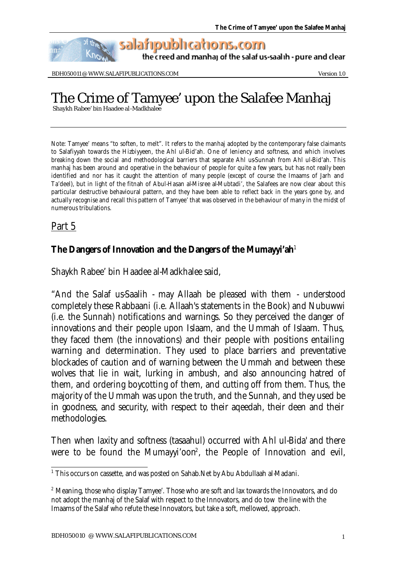salafipublications.com

the creed and manhaj of the salaf us-saalih - pure and clear

BDH050011 @ WWW.SALAFIPUBLICATIONS.COM Version 1.0

## The Crime of Tamyee' upon the Salafee Manhaj

Shaykh Rabee' bin Haadee al-Madkhalee

Note: Tamyee' means "to soften, to melt". It refers to the manhaj adopted by the contemporary false claimants to Salafiyyah towards the Hizbiyyeen, the Ahl ul-Bid'ah. One of leniency and softness, and which involves breaking down the social and methodological barriers that separate Ahl us-Sunnah from Ahl ul-Bid'ah. This manhaj has been around and operative in the behaviour of people for quite a few years, but has not really been identified and nor has it caught the attention of many people (except of course the Imaams of Jarh and Ta'deel), but in light of the fitnah of Abul-Hasan al-Misree al-Mubtadi', the Salafees are now clear about this particular destructive behavioural pattern, and they have been able to reflect back in the years gone by, and actually recognise and recall this pattern of Tamyee' that was observed in the behaviour of many in the midst of numerous tribulations.

## Part 5

## **The Dangers of Innovation and the Dangers of the Mumayyi'ah**<sup>1</sup>

Shaykh Rabee' bin Haadee al-Madkhalee said,

"And the Salaf us-Saalih - may Allaah be pleased with them - understood completely these Rabbaani (i.e. Allaah's statements in the Book) and Nubuwwi (i.e. the Sunnah) notifications and warnings. So they perceived the danger of innovations and their people upon Islaam, and the Ummah of Islaam. Thus, they faced them (the innovations) and their people with positions entailing warning and determination. They used to place barriers and preventative blockades of caution and of warning between the Ummah and between these wolves that lie in wait, lurking in ambush, and also announcing hatred of them, and ordering boycotting of them, and cutting off from them. Thus, the majority of the Ummah was upon the truth, and the Sunnah, and they used be in goodness, and security, with respect to their aqeedah, their deen and their methodologies.

Then when laxity and softness (tasaahul) occurred with Ahl ul-Bida' and there were to be found the Mumayyi'oon<sup>2</sup>, the People of Innovation and evil,

 1 This occurs on cassette, and was posted on Sahab.Net by Abu Abdullaah al-Madani.

 $2$  Meaning, those who display Tamyee'. Those who are soft and lax towards the Innovators, and do not adopt the manhaj of the Salaf with respect to the Innovators, and do tow the line with the Imaams of the Salaf who refute these Innovators, but take a soft, mellowed, approach.